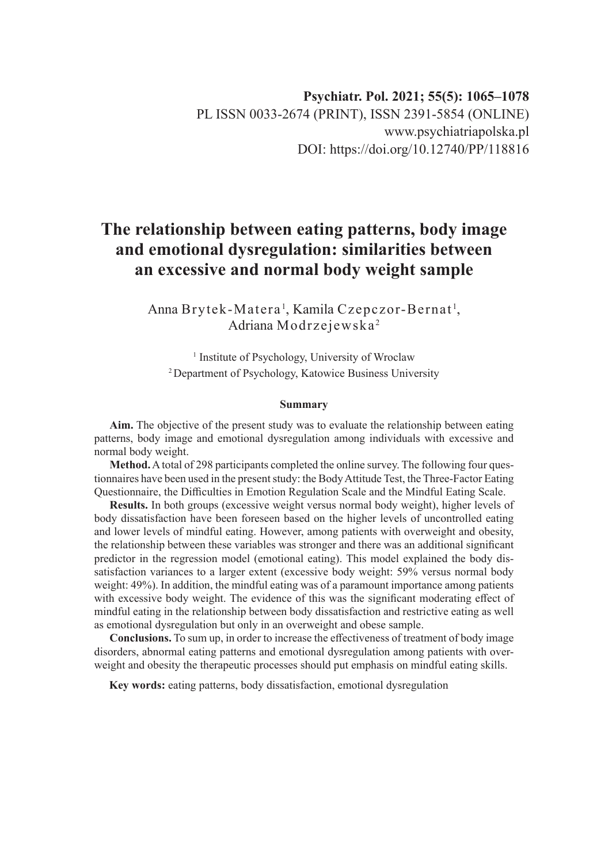# **The relationship between eating patterns, body image and emotional dysregulation: similarities between an excessive and normal body weight sample**

Anna Brytek-Matera<sup>1</sup>, Kamila Czepczor-Bernat<sup>1</sup>, Adriana Modrzejewska <sup>2</sup>

<sup>1</sup> Institute of Psychology, University of Wroclaw 2 Department of Psychology, Katowice Business University

#### **Summary**

**Aim.** The objective of the present study was to evaluate the relationship between eating patterns, body image and emotional dysregulation among individuals with excessive and normal body weight.

**Method.** A total of 298 participants completed the online survey. The following four questionnaires have been used in the present study: the Body Attitude Test, the Three-Factor Eating Questionnaire, the Difficulties in Emotion Regulation Scale and the Mindful Eating Scale.

**Results.** In both groups (excessive weight versus normal body weight), higher levels of body dissatisfaction have been foreseen based on the higher levels of uncontrolled eating and lower levels of mindful eating. However, among patients with overweight and obesity, the relationship between these variables was stronger and there was an additional significant predictor in the regression model (emotional eating). This model explained the body dissatisfaction variances to a larger extent (excessive body weight: 59% versus normal body weight: 49%). In addition, the mindful eating was of a paramount importance among patients with excessive body weight. The evidence of this was the significant moderating effect of mindful eating in the relationship between body dissatisfaction and restrictive eating as well as emotional dysregulation but only in an overweight and obese sample.

**Conclusions.** To sum up, in order to increase the effectiveness of treatment of body image disorders, abnormal eating patterns and emotional dysregulation among patients with overweight and obesity the therapeutic processes should put emphasis on mindful eating skills.

**Key words:** eating patterns, body dissatisfaction, emotional dysregulation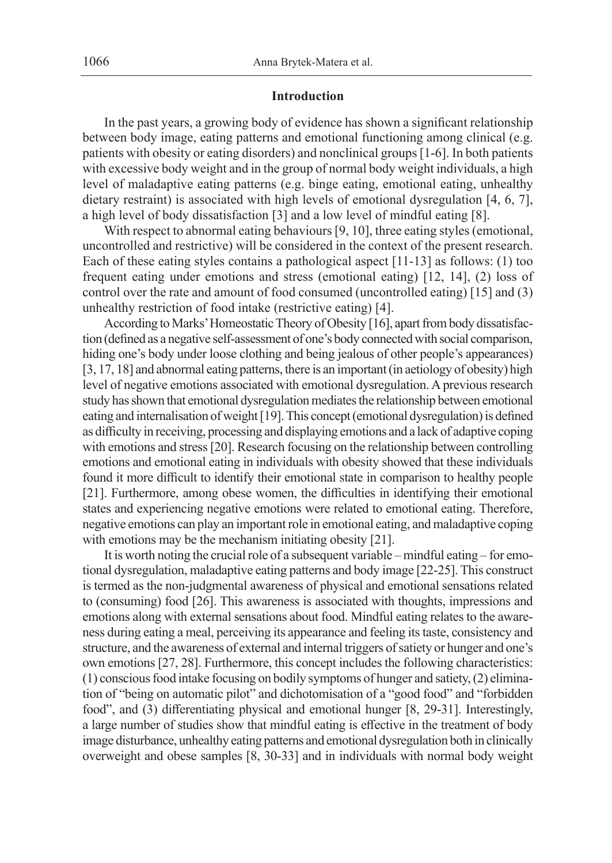#### **Introduction**

In the past years, a growing body of evidence has shown a significant relationship between body image, eating patterns and emotional functioning among clinical (e.g. patients with obesity or eating disorders) and nonclinical groups [1-6]. In both patients with excessive body weight and in the group of normal body weight individuals, a high level of maladaptive eating patterns (e.g. binge eating, emotional eating, unhealthy dietary restraint) is associated with high levels of emotional dysregulation [4, 6, 7], a high level of body dissatisfaction [3] and a low level of mindful eating [8].

With respect to abnormal eating behaviours [9, 10], three eating styles (emotional, uncontrolled and restrictive) will be considered in the context of the present research. Each of these eating styles contains a pathological aspect [11-13] as follows: (1) too frequent eating under emotions and stress (emotional eating) [12, 14], (2) loss of control over the rate and amount of food consumed (uncontrolled eating) [15] and (3) unhealthy restriction of food intake (restrictive eating) [4].

According to Marks' Homeostatic Theory of Obesity [16], apart from body dissatisfaction (defined as a negative self-assessment of one's body connected with social comparison, hiding one's body under loose clothing and being jealous of other people's appearances) [3, 17, 18] and abnormal eating patterns, there is an important (in aetiology of obesity) high level of negative emotions associated with emotional dysregulation. Aprevious research study has shown that emotional dysregulation mediates the relationship between emotional eating and internalisation of weight [19]. This concept (emotional dysregulation) is defined as difficulty in receiving, processing and displaying emotions and a lack of adaptive coping with emotions and stress [20]. Research focusing on the relationship between controlling emotions and emotional eating in individuals with obesity showed that these individuals found it more difficult to identify their emotional state in comparison to healthy people [21]. Furthermore, among obese women, the difficulties in identifying their emotional states and experiencing negative emotions were related to emotional eating. Therefore, negative emotions can play an important role in emotional eating, and maladaptive coping with emotions may be the mechanism initiating obesity [21].

It is worth noting the crucial role of a subsequent variable – mindful eating – for emotional dysregulation, maladaptive eating patterns and body image [22-25]. This construct is termed as the non-judgmental awareness of physical and emotional sensations related to (consuming) food [26]. This awareness is associated with thoughts, impressions and emotions along with external sensations about food. Mindful eating relates to the awareness during eating a meal, perceiving its appearance and feeling its taste, consistency and structure, and the awareness of external and internal triggers of satiety or hunger and one's own emotions [27, 28]. Furthermore, this concept includes the following characteristics: (1) conscious food intake focusing on bodily symptoms of hunger and satiety, (2) elimination of "being on automatic pilot" and dichotomisation of a "good food" and "forbidden food", and (3) differentiating physical and emotional hunger [8, 29-31]. Interestingly, a large number of studies show that mindful eating is effective in the treatment of body image disturbance, unhealthy eating patterns and emotional dysregulation both in clinically overweight and obese samples [8, 30-33] and in individuals with normal body weight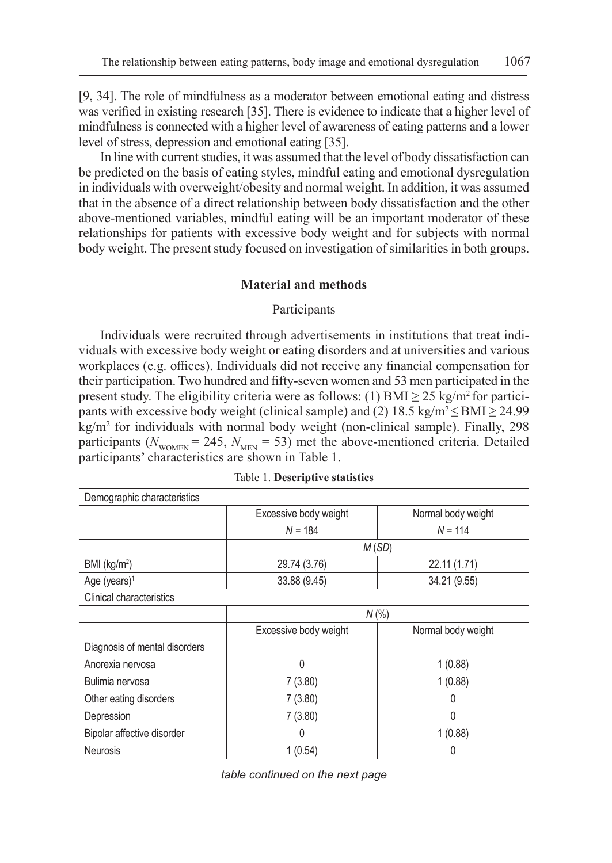[9, 34]. The role of mindfulness as a moderator between emotional eating and distress was verified in existing research [35]. There is evidence to indicate that a higher level of mindfulness is connected with a higher level of awareness of eating patterns and a lower level of stress, depression and emotional eating [35].

In line with current studies, it was assumed that the level of body dissatisfaction can be predicted on the basis of eating styles, mindful eating and emotional dysregulation in individuals with overweight/obesity and normal weight. In addition, it was assumed that in the absence of a direct relationship between body dissatisfaction and the other above-mentioned variables, mindful eating will be an important moderator of these relationships for patients with excessive body weight and for subjects with normal body weight. The present study focused on investigation of similarities in both groups.

## **Material and methods**

## Participants

Individuals were recruited through advertisements in institutions that treat individuals with excessive body weight or eating disorders and at universities and various workplaces (e.g. offices). Individuals did not receive any financial compensation for their participation. Two hundred and fifty-seven women and 53 men participated in the present study. The eligibility criteria were as follows: (1) BMI  $\geq$  25 kg/m<sup>2</sup> for participants with excessive body weight (clinical sample) and (2) 18.5 kg/m<sup>2</sup>  $\leq$  BMI  $\geq$  24.99 kg/m2 for individuals with normal body weight (non-clinical sample). Finally, 298 participants ( $N_{\text{WOMEN}}$  = 245,  $N_{\text{MEN}}$  = 53) met the above-mentioned criteria. Detailed participants' characteristics are shown in Table 1.

| Demographic characteristics     |                       |                    |  |  |  |
|---------------------------------|-----------------------|--------------------|--|--|--|
|                                 | Excessive body weight | Normal body weight |  |  |  |
|                                 | $N = 184$             | $N = 114$          |  |  |  |
|                                 | M(SD)                 |                    |  |  |  |
| BMI (kg/m <sup>2</sup> )        | 29.74 (3.76)          | 22.11 (1.71)       |  |  |  |
| Age (years) <sup>1</sup>        | 33.88 (9.45)          | 34.21 (9.55)       |  |  |  |
| <b>Clinical characteristics</b> |                       |                    |  |  |  |
|                                 | $N$ (%)               |                    |  |  |  |
|                                 | Excessive body weight | Normal body weight |  |  |  |
| Diagnosis of mental disorders   |                       |                    |  |  |  |
| Anorexia nervosa                | 0                     | 1(0.88)            |  |  |  |
| Bulimia nervosa                 | 7(3.80)               | 1(0.88)            |  |  |  |
| Other eating disorders          | 7(3.80)               | $\left( \right)$   |  |  |  |
| Depression                      | 7(3.80)               | 0                  |  |  |  |
| Bipolar affective disorder      | O                     | 1(0.88)            |  |  |  |
| <b>Neurosis</b>                 | 1(0.54)               | 0                  |  |  |  |

Table 1. **Descriptive statistics**

*table continued on the next page*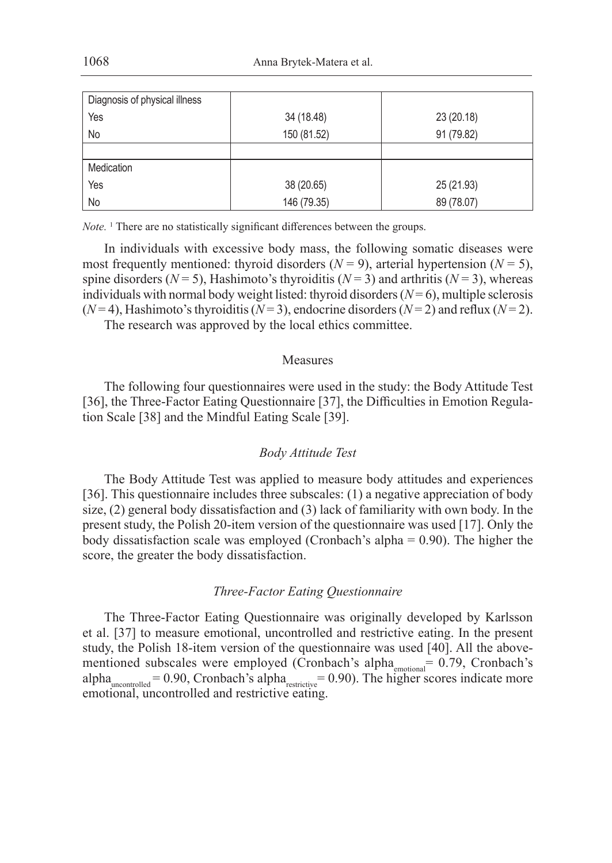| Diagnosis of physical illness |             |            |
|-------------------------------|-------------|------------|
| Yes                           | 34 (18.48)  | 23 (20.18) |
| No                            | 150 (81.52) | 91 (79.82) |
|                               |             |            |
| Medication                    |             |            |
| Yes                           | 38 (20.65)  | 25 (21.93) |
| No                            | 146 (79.35) | 89 (78.07) |

*Note.* <sup>1</sup> There are no statistically significant differences between the groups.

In individuals with excessive body mass, the following somatic diseases were most frequently mentioned: thyroid disorders  $(N = 9)$ , arterial hypertension  $(N = 5)$ , spine disorders ( $N = 5$ ), Hashimoto's thyroiditis ( $N = 3$ ) and arthritis ( $N = 3$ ), whereas individuals with normal body weight listed: thyroid disorders  $(N=6)$ , multiple sclerosis  $(N=4)$ , Hashimoto's thyroiditis  $(N=3)$ , endocrine disorders  $(N=2)$  and reflux  $(N=2)$ .

The research was approved by the local ethics committee.

# Measures

The following four questionnaires were used in the study: the Body Attitude Test [36], the Three-Factor Eating Questionnaire [37], the Difficulties in Emotion Regulation Scale [38] and the Mindful Eating Scale [39].

## *Body Attitude Test*

The Body Attitude Test was applied to measure body attitudes and experiences [36]. This questionnaire includes three subscales: (1) a negative appreciation of body size, (2) general body dissatisfaction and (3) lack of familiarity with own body. In the present study, the Polish 20-item version of the questionnaire was used [17]. Only the body dissatisfaction scale was employed (Cronbach's alpha = 0.90). The higher the score, the greater the body dissatisfaction.

#### *Three-Factor Eating Questionnaire*

The Three-Factor Eating Questionnaire was originally developed by Karlsson et al. [37] to measure emotional, uncontrolled and restrictive eating. In the present study, the Polish 18-item version of the questionnaire was used [40]. All the abovementioned subscales were employed (Cronbach's alpha<sub>emotional</sub>= 0.79, Cronbach's alpha<sub>uncontrolled</sub> = 0.90, Cronbach's alpha<sub>restrictive</sub> = 0.90). The higher scores indicate more emotional, uncontrolled and restrictive eating.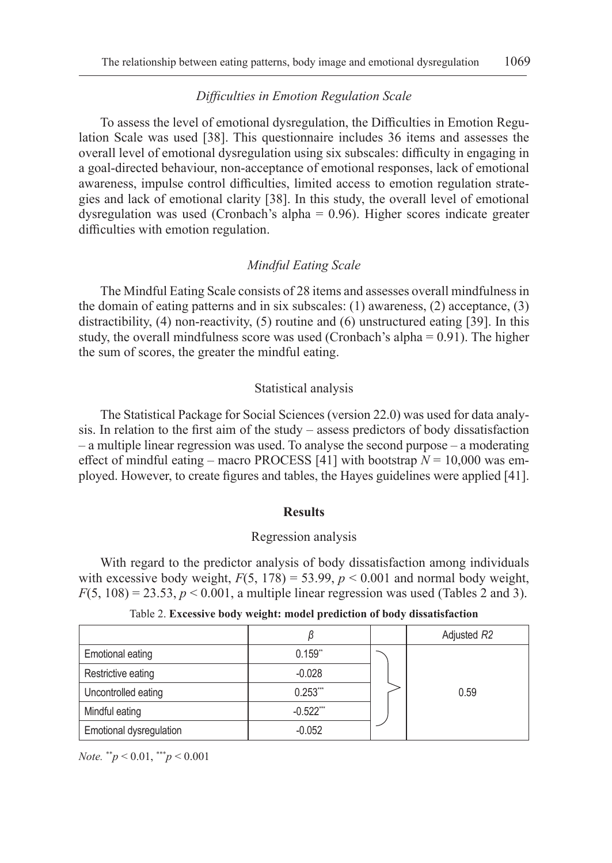# *Difficulties in Emotion Regulation Scale*

To assess the level of emotional dysregulation, the Difficulties in Emotion Regulation Scale was used [38]. This questionnaire includes 36 items and assesses the overall level of emotional dysregulation using six subscales: difficulty in engaging in a goal-directed behaviour, non-acceptance of emotional responses, lack of emotional awareness, impulse control difficulties, limited access to emotion regulation strategies and lack of emotional clarity [38]. In this study, the overall level of emotional dysregulation was used (Cronbach's alpha = 0.96). Higher scores indicate greater difficulties with emotion regulation.

## *Mindful Eating Scale*

The Mindful Eating Scale consists of 28 items and assesses overall mindfulness in the domain of eating patterns and in six subscales: (1) awareness, (2) acceptance, (3) distractibility, (4) non-reactivity, (5) routine and (6) unstructured eating [39]. In this study, the overall mindfulness score was used (Cronbach's alpha  $= 0.91$ ). The higher the sum of scores, the greater the mindful eating.

#### Statistical analysis

The Statistical Package for Social Sciences (version 22.0) was used for data analysis. In relation to the first aim of the study – assess predictors of body dissatisfaction – a multiple linear regression was used. To analyse the second purpose – a moderating effect of mindful eating – macro PROCESS [41] with bootstrap *N* = 10,000 was employed. However, to create figures and tables, the Hayes guidelines were applied [41].

#### **Results**

### Regression analysis

With regard to the predictor analysis of body dissatisfaction among individuals with excessive body weight,  $F(5, 178) = 53.99$ ,  $p < 0.001$  and normal body weight,  $F(5, 108) = 23.53, p < 0.001$ , a multiple linear regression was used (Tables 2 and 3).

|                         |              | Adjusted R2 |
|-------------------------|--------------|-------------|
| <b>Emotional eating</b> | 0.159"       |             |
| Restrictive eating      | $-0.028$     |             |
| Uncontrolled eating     | $0.253$ ***  | 0.59        |
| Mindful eating          | $-0.522$ *** |             |
| Emotional dysregulation | $-0.052$     |             |

| Table 2. Excessive body weight: model prediction of body dissatisfaction |  |  |  |  |
|--------------------------------------------------------------------------|--|--|--|--|
|--------------------------------------------------------------------------|--|--|--|--|

*Note.* \*\**p* < 0.01, \*\*\**p* < 0.001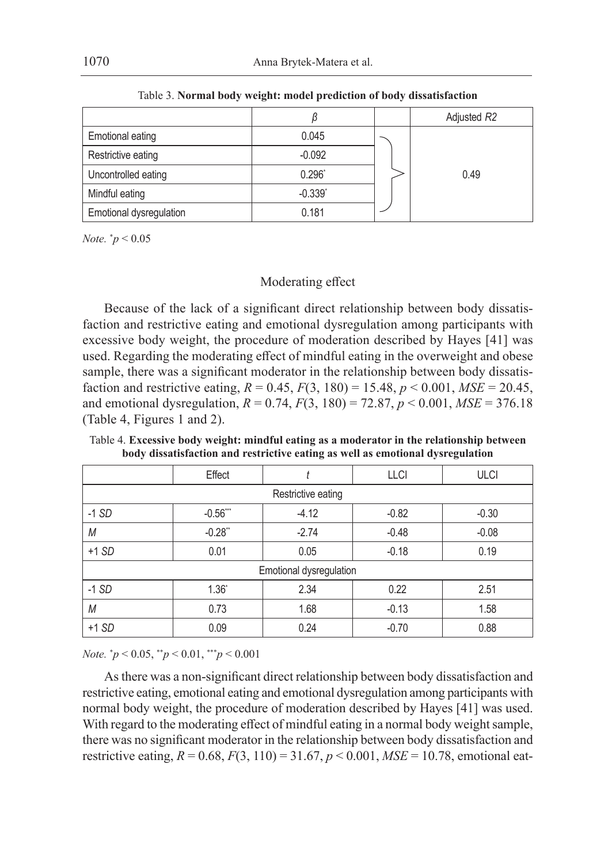|                         |             | Adjusted R2 |
|-------------------------|-------------|-------------|
| <b>Emotional eating</b> | 0.045       |             |
| Restrictive eating      | $-0.092$    |             |
| Uncontrolled eating     | $0.296^{*}$ | 0.49        |
| Mindful eating          | $-0.339'$   |             |
| Emotional dysregulation | 0.181       |             |

Table 3. **Normal body weight: model prediction of body dissatisfaction**

*Note.* \* *p* < 0.05

# Moderating effect

Because of the lack of a significant direct relationship between body dissatisfaction and restrictive eating and emotional dysregulation among participants with excessive body weight, the procedure of moderation described by Hayes [41] was used. Regarding the moderating effect of mindful eating in the overweight and obese sample, there was a significant moderator in the relationship between body dissatisfaction and restrictive eating,  $R = 0.45$ ,  $F(3, 180) = 15.48$ ,  $p < 0.001$ ,  $MSE = 20.45$ , and emotional dysregulation, *R* = 0.74, *F*(3, 180) = 72.87, *p* < 0.001, *MSE* = 376.18 (Table 4, Figures 1 and 2).

|                         | Effect             |         | <b>LLCI</b> | <b>ULCI</b> |  |  |
|-------------------------|--------------------|---------|-------------|-------------|--|--|
|                         | Restrictive eating |         |             |             |  |  |
| $-1$ SD                 | $-0.56***$         | $-4.12$ | $-0.82$     | $-0.30$     |  |  |
| M                       | $-0.28"$           | $-2.74$ | $-0.48$     | $-0.08$     |  |  |
| $+1 SD$                 | 0.01               | 0.05    | $-0.18$     | 0.19        |  |  |
| Emotional dysregulation |                    |         |             |             |  |  |
| $-1$ SD                 | 1.36'              | 2.34    | 0.22        | 2.51        |  |  |
| M                       | 0.73               | 1.68    | $-0.13$     | 1.58        |  |  |
| $+1 SD$                 | 0.09               | 0.24    | $-0.70$     | 0.88        |  |  |

Table 4. **Excessive body weight: mindful eating as a moderator in the relationship between body dissatisfaction and restrictive eating as well as emotional dysregulation**

*Note.* \* *p* < 0.05, \*\**p* < 0.01, \*\*\**p* < 0.001

As there was a non-significant direct relationship between body dissatisfaction and restrictive eating, emotional eating and emotional dysregulation among participants with normal body weight, the procedure of moderation described by Hayes [41] was used. With regard to the moderating effect of mindful eating in a normal body weight sample, there was no significant moderator in the relationship between body dissatisfaction and restrictive eating, *R* = 0.68, *F*(3, 110) = 31.67, *p* < 0.001, *MSE* = 10.78, emotional eat-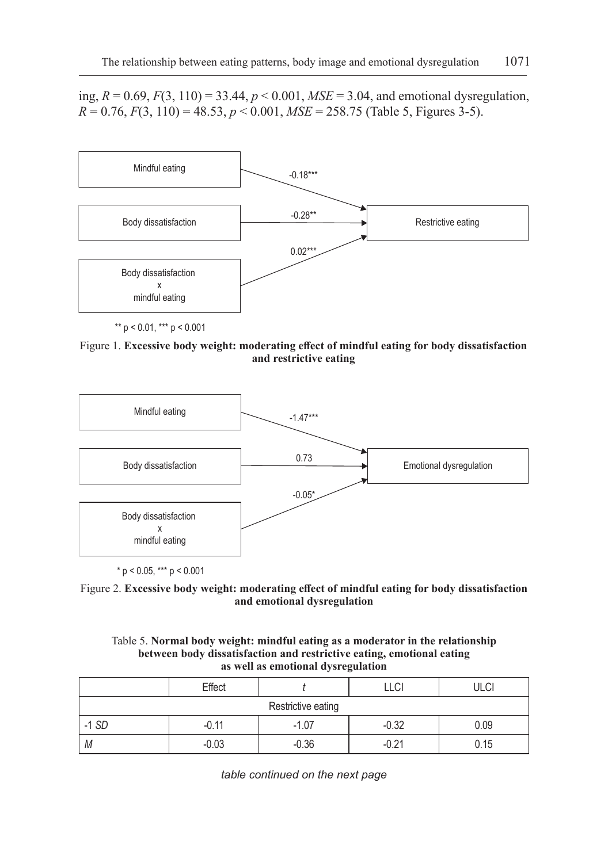ing, *R* = 0.69, *F*(3, 110) = 33.44, *p* < 0.001, *MSE* = 3.04, and emotional dysregulation,  $R = 0.76$ ,  $F(3, 110) = 48.53$ ,  $p < 0.001$ ,  $MSE = 258.75$  (Table 5, Figures 3-5).



Figure 1. **Excessive body weight: moderating effect of mindful eating for body dissatisfaction and restrictive eating**



 $*$  p < 0.05, \*\*\* p < 0.001



| Table 5. Normal body weight: mindful eating as a moderator in the relationship |
|--------------------------------------------------------------------------------|
| between body dissatisfaction and restrictive eating, emotional eating          |
| as well as emotional dysregulation                                             |

|                    | Effect  |         | LLCI    | <b>ULCI</b> |  |
|--------------------|---------|---------|---------|-------------|--|
| Restrictive eating |         |         |         |             |  |
| $-1$ SD            | $-0.11$ | $-1.07$ | $-0.32$ | 0.09        |  |
| M                  | $-0.03$ | $-0.36$ | $-0.21$ | 0.15        |  |

*table continued on the next page*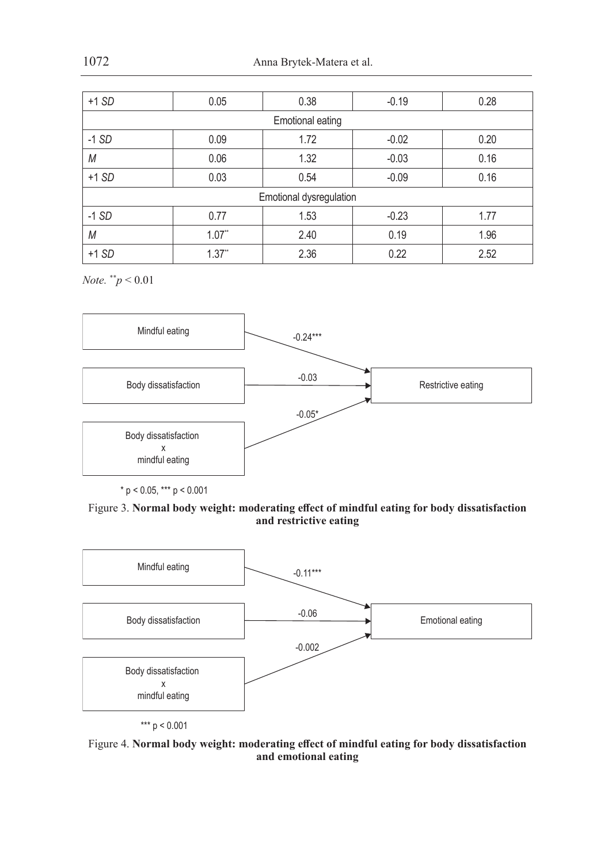| $+1$ SD                 | 0.05     | 0.38                    | $-0.19$ | 0.28 |
|-------------------------|----------|-------------------------|---------|------|
|                         |          | <b>Emotional eating</b> |         |      |
| $-1$ SD                 | 0.09     | 1.72                    | $-0.02$ | 0.20 |
| M                       | 0.06     | 1.32                    | $-0.03$ | 0.16 |
| $+1$ SD                 | 0.03     | 0.54                    | $-0.09$ | 0.16 |
| Emotional dysregulation |          |                         |         |      |
| $-1$ SD                 | 0.77     | 1.53                    | $-0.23$ | 1.77 |
| M                       | 1.07"    | 2.40                    | 0.19    | 1.96 |
| $+1 SD$                 | $1.37$ * | 2.36                    | 0.22    | 2.52 |

*Note.* \*\**p* < 0.01



 $*$  p < 0.05,  $***$  p < 0.001

Figure 3. **Normal body weight: moderating effect of mindful eating for body dissatisfaction and restrictive eating**



Figure 4. **Normal body weight: moderating effect of mindful eating for body dissatisfaction and emotional eating**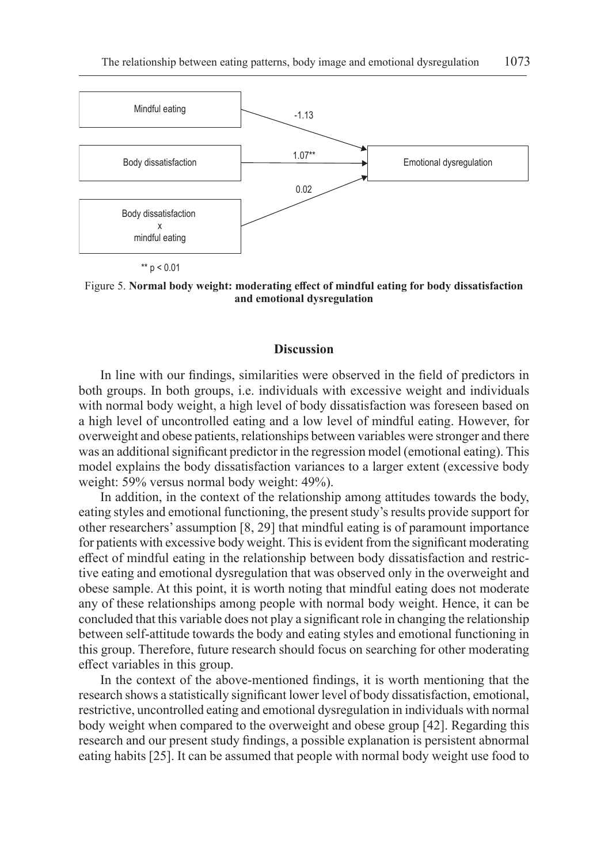

Figure 5. **Normal body weight: moderating effect of mindful eating for body dissatisfaction and emotional dysregulation**

#### **Discussion**

In line with our findings, similarities were observed in the field of predictors in both groups. In both groups, i.e. individuals with excessive weight and individuals with normal body weight, a high level of body dissatisfaction was foreseen based on a high level of uncontrolled eating and a low level of mindful eating. However, for overweight and obese patients, relationships between variables were stronger and there was an additional significant predictor in the regression model (emotional eating). This model explains the body dissatisfaction variances to a larger extent (excessive body weight: 59% versus normal body weight: 49%).

In addition, in the context of the relationship among attitudes towards the body, eating styles and emotional functioning, the present study's results provide support for other researchers' assumption [8, 29] that mindful eating is of paramount importance for patients with excessive body weight. This is evident from the significant moderating effect of mindful eating in the relationship between body dissatisfaction and restrictive eating and emotional dysregulation that was observed only in the overweight and obese sample. At this point, it is worth noting that mindful eating does not moderate any of these relationships among people with normal body weight. Hence, it can be concluded that this variable does not play a significant role in changing the relationship between self-attitude towards the body and eating styles and emotional functioning in this group. Therefore, future research should focus on searching for other moderating effect variables in this group.

In the context of the above-mentioned findings, it is worth mentioning that the research shows a statistically significant lower level of body dissatisfaction, emotional, restrictive, uncontrolled eating and emotional dysregulation in individuals with normal body weight when compared to the overweight and obese group [42]. Regarding this research and our present study findings, a possible explanation is persistent abnormal eating habits [25]. It can be assumed that people with normal body weight use food to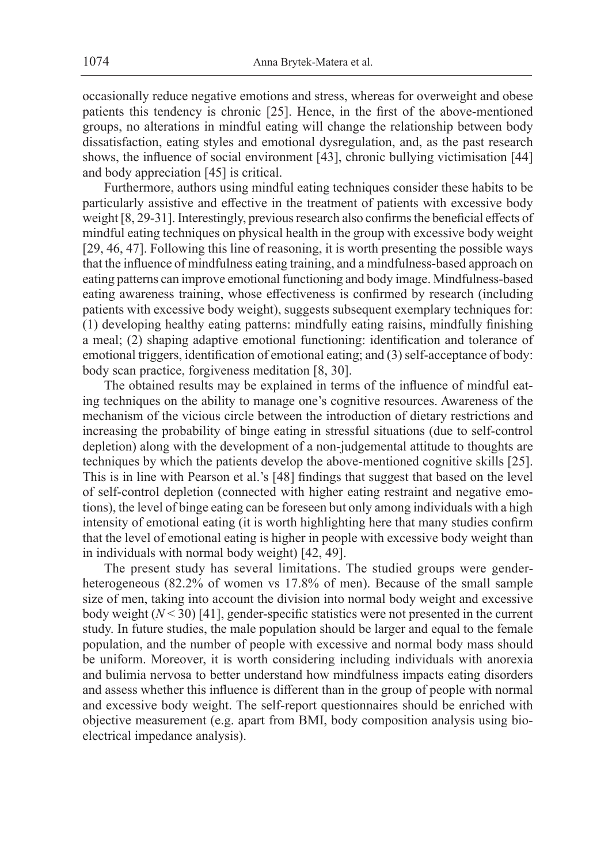occasionally reduce negative emotions and stress, whereas for overweight and obese patients this tendency is chronic [25]. Hence, in the first of the above-mentioned groups, no alterations in mindful eating will change the relationship between body dissatisfaction, eating styles and emotional dysregulation, and, as the past research shows, the influence of social environment [43], chronic bullying victimisation [44] and body appreciation [45] is critical.

Furthermore, authors using mindful eating techniques consider these habits to be particularly assistive and effective in the treatment of patients with excessive body weight [8, 29-31]. Interestingly, previous research also confirms the beneficial effects of mindful eating techniques on physical health in the group with excessive body weight [29, 46, 47]. Following this line of reasoning, it is worth presenting the possible ways that the influence of mindfulness eating training, and a mindfulness-based approach on eating patterns can improve emotional functioning and body image. Mindfulness-based eating awareness training, whose effectiveness is confirmed by research (including patients with excessive body weight), suggests subsequent exemplary techniques for: (1) developing healthy eating patterns: mindfully eating raisins, mindfully finishing a meal; (2) shaping adaptive emotional functioning: identification and tolerance of emotional triggers, identification of emotional eating; and (3) self-acceptance of body: body scan practice, forgiveness meditation [8, 30].

The obtained results may be explained in terms of the influence of mindful eating techniques on the ability to manage one's cognitive resources. Awareness of the mechanism of the vicious circle between the introduction of dietary restrictions and increasing the probability of binge eating in stressful situations (due to self-control depletion) along with the development of a non-judgemental attitude to thoughts are techniques by which the patients develop the above-mentioned cognitive skills [25]. This is in line with Pearson et al.'s [48] findings that suggest that based on the level of self-control depletion (connected with higher eating restraint and negative emotions), the level of binge eating can be foreseen but only among individuals with a high intensity of emotional eating (it is worth highlighting here that many studies confirm that the level of emotional eating is higher in people with excessive body weight than in individuals with normal body weight) [42, 49].

The present study has several limitations. The studied groups were genderheterogeneous (82.2% of women vs 17.8% of men). Because of the small sample size of men, taking into account the division into normal body weight and excessive body weight  $(N < 30)$  [41], gender-specific statistics were not presented in the current study. In future studies, the male population should be larger and equal to the female population, and the number of people with excessive and normal body mass should be uniform. Moreover, it is worth considering including individuals with anorexia and bulimia nervosa to better understand how mindfulness impacts eating disorders and assess whether this influence is different than in the group of people with normal and excessive body weight. The self-report questionnaires should be enriched with objective measurement (e.g. apart from BMI, body composition analysis using bioelectrical impedance analysis).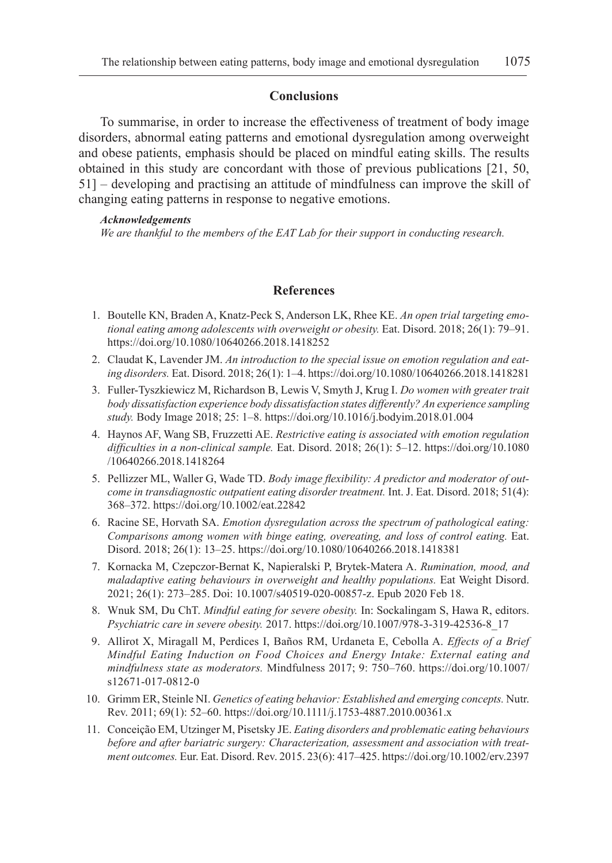#### **Conclusions**

To summarise, in order to increase the effectiveness of treatment of body image disorders, abnormal eating patterns and emotional dysregulation among overweight and obese patients, emphasis should be placed on mindful eating skills. The results obtained in this study are concordant with those of previous publications [21, 50, 51] – developing and practising an attitude of mindfulness can improve the skill of changing eating patterns in response to negative emotions.

#### *Acknowledgements*

*We are thankful to the members of the EAT Lab for their support in conducting research.*

## **References**

- 1. Boutelle KN, Braden A, Knatz-Peck S, Anderson LK, Rhee KE. *An open trial targeting emotional eating among adolescents with overweight or obesity.* Eat. Disord. 2018; 26(1): 79–91. https://doi.org/10.1080/10640266.2018.1418252
- 2. Claudat K, Lavender JM. *An introduction to the special issue on emotion regulation and eating disorders.* Eat. Disord. 2018; 26(1): 1–4. https://doi.org/10.1080/10640266.2018.1418281
- 3. Fuller-Tyszkiewicz M, Richardson B, Lewis V, Smyth J, Krug I. *Do women with greater trait body dissatisfaction experience body dissatisfaction states differently? An experience sampling study.* Body Image 2018; 25: 1–8. https://doi.org/10.1016/j.bodyim.2018.01.004
- 4. Haynos AF, Wang SB, Fruzzetti AE. *Restrictive eating is associated with emotion regulation difficulties in a non-clinical sample.* Eat. Disord. 2018; 26(1): 5–12. https://doi.org/10.1080 /10640266.2018.1418264
- 5. Pellizzer ML, Waller G, Wade TD. *Body image flexibility: A predictor and moderator of outcome in transdiagnostic outpatient eating disorder treatment.* Int. J. Eat. Disord. 2018; 51(4): 368–372. https://doi.org/10.1002/eat.22842
- 6. Racine SE, Horvath SA. *Emotion dysregulation across the spectrum of pathological eating: Comparisons among women with binge eating, overeating, and loss of control eating.* Eat. Disord. 2018; 26(1): 13–25. https://doi.org/10.1080/10640266.2018.1418381
- 7. Kornacka M, Czepczor-Bernat K, Napieralski P, Brytek-Matera A. *Rumination, mood, and maladaptive eating behaviours in overweight and healthy populations.* Eat Weight Disord. 2021; 26(1): 273–285. Doi: 10.1007/s40519-020-00857-z. Epub 2020 Feb 18.
- 8. Wnuk SM, Du ChT. *Mindful eating for severe obesity.* In: Sockalingam S, Hawa R, editors. *Psychiatric care in severe obesity.* 2017. https://doi.org/10.1007/978-3-319-42536-8\_17
- 9. Allirot X, Miragall M, Perdices I, Baños RM, Urdaneta E, Cebolla A. *Effects of a Brief Mindful Eating Induction on Food Choices and Energy Intake: External eating and mindfulness state as moderators.* Mindfulness 2017; 9: 750–760. https://doi.org/10.1007/ s12671-017-0812-0
- 10. Grimm ER, Steinle NI. *Genetics of eating behavior: Established and emerging concepts.* Nutr. Rev. 2011; 69(1): 52–60. https://doi.org/10.1111/j.1753-4887.2010.00361.x
- 11. Conceição EM, Utzinger M, Pisetsky JE. *Eating disorders and problematic eating behaviours before and after bariatric surgery: Characterization, assessment and association with treatment outcomes.* Eur. Eat. Disord. Rev. 2015. 23(6): 417–425. https://doi.org/10.1002/erv.2397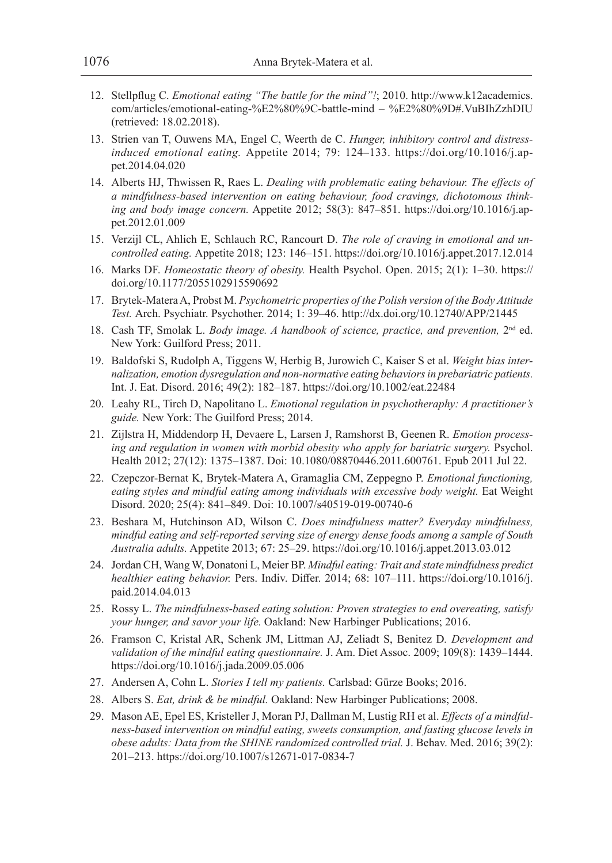- 12. Stellpflug C. *Emotional eating "The battle for the mind"!*; 2010. http://www.k12academics. com/articles/emotional-eating-%E2%80%9C-battle-mind – %E2%80%9D#.VuBIhZzhDIU (retrieved: 18.02.2018).
- 13. Strien van T, Ouwens MA, Engel C, Weerth de C. *Hunger, inhibitory control and distressinduced emotional eating.* Appetite 2014; 79: 124–133. https://doi.org/10.1016/j.appet.2014.04.020
- 14. Alberts HJ, Thwissen R, Raes L. *Dealing with problematic eating behaviour. The effects of a mindfulness-based intervention on eating behaviour, food cravings, dichotomous thinking and body image concern.* Appetite 2012; 58(3): 847–851. https://doi.org/10.1016/j.appet.2012.01.009
- 15. Verzijl CL, Ahlich E, Schlauch RC, Rancourt D. *The role of craving in emotional and uncontrolled eating.* Appetite 2018; 123: 146–151. https://doi.org/10.1016/j.appet.2017.12.014
- 16. Marks DF. *Homeostatic theory of obesity.* Health Psychol. Open. 2015; 2(1): 1–30. https:// doi.org/10.1177/2055102915590692
- 17. Brytek-Matera A, Probst M. *Psychometric properties of the Polish version of the Body Attitude Test.* Arch. Psychiatr. Psychother. 2014; 1: 39–46. http://dx.doi.org/10.12740/APP/21445
- 18. Cash TF, Smolak L. *Body image. A handbook of science, practice, and prevention,* 2nd ed. New York: Guilford Press; 2011.
- 19. Baldofski S, Rudolph A, Tiggens W, Herbig B, Jurowich C, Kaiser S et al. *Weight bias internalization, emotion dysregulation and non-normative eating behaviors in prebariatric patients.*  Int. J. Eat. Disord. 2016; 49(2): 182–187. https://doi.org/10.1002/eat.22484
- 20. Leahy RL, Tirch D, Napolitano L. *Emotional regulation in psychotheraphy: A practitioner's guide.* New York: The Guilford Press; 2014.
- 21. Zijlstra H, Middendorp H, Devaere L, Larsen J, Ramshorst B, Geenen R. *Emotion processing and regulation in women with morbid obesity who apply for bariatric surgery.* Psychol. Health 2012; 27(12): 1375–1387. Doi: 10.1080/08870446.2011.600761. Epub 2011 Jul 22.
- 22. Czepczor-Bernat K, Brytek-Matera A, Gramaglia CM, Zeppegno P. *Emotional functioning, eating styles and mindful eating among individuals with excessive body weight.* Eat Weight Disord. 2020; 25(4): 841–849. Doi: 10.1007/s40519-019-00740-6
- 23. Beshara M, Hutchinson AD, Wilson C. *Does mindfulness matter? Everyday mindfulness, mindful eating and self-reported serving size of energy dense foods among a sample of South Australia adults.* Appetite 2013; 67: 25–29. https://doi.org/10.1016/j.appet.2013.03.012
- 24. Jordan CH, Wang W, Donatoni L, Meier BP. *Mindful eating: Trait and state mindfulness predict healthier eating behavior.* Pers. Indiv. Differ. 2014; 68: 107–111. https://doi.org/10.1016/j. paid.2014.04.013
- 25. Rossy L. *The mindfulness-based eating solution: Proven strategies to end overeating, satisfy your hunger, and savor your life.* Oakland: New Harbinger Publications; 2016.
- 26. Framson C, Kristal AR, Schenk JM, Littman AJ, Zeliadt S, Benitez D*. Development and validation of the mindful eating questionnaire.* J. Am. Diet Assoc. 2009; 109(8): 1439–1444. https://doi.org/10.1016/j.jada.2009.05.006
- 27. Andersen A, Cohn L. *Stories I tell my patients.* Carlsbad: Gürze Books; 2016.
- 28. Albers S. *Eat, drink & be mindful.* Oakland: New Harbinger Publications; 2008.
- 29. Mason AE, Epel ES, Kristeller J, Moran PJ, Dallman M, Lustig RH et al. *Effects of a mindfulness-based intervention on mindful eating, sweets consumption, and fasting glucose levels in obese adults: Data from the SHINE randomized controlled trial.* J. Behav. Med. 2016; 39(2): 201–213. https://doi.org/10.1007/s12671-017-0834-7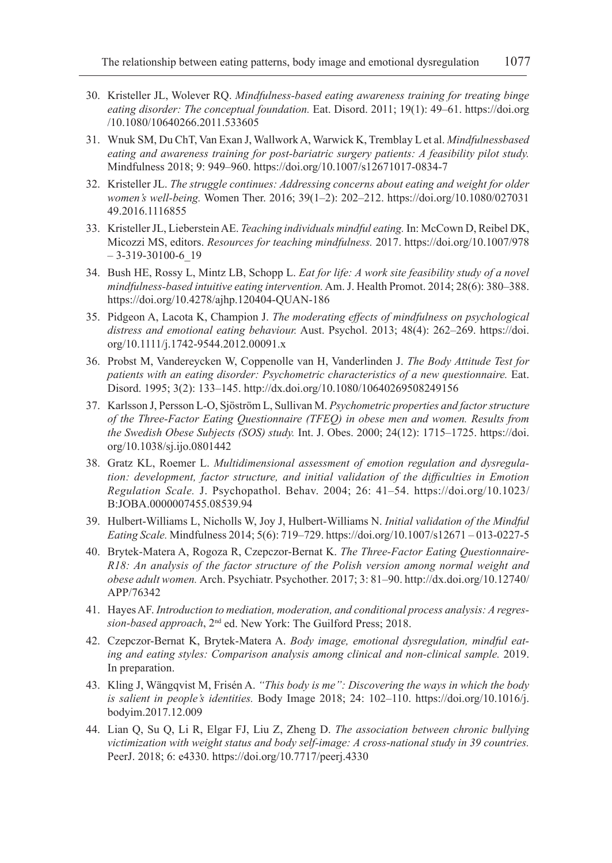- 30. Kristeller JL, Wolever RQ. *Mindfulness-based eating awareness training for treating binge eating disorder: The conceptual foundation.* Eat. Disord. 2011; 19(1): 49–61. https://doi.org /10.1080/10640266.2011.533605
- 31. Wnuk SM, Du ChT, Van Exan J, Wallwork A, Warwick K, Tremblay L et al. *Mindfulnessbased eating and awareness training for post-bariatric surgery patients: A feasibility pilot study.* Mindfulness 2018; 9: 949–960. https://doi.org/10.1007/s12671017-0834-7
- 32. Kristeller JL. *The struggle continues: Addressing concerns about eating and weight for older women's well-being.* Women Ther. 2016; 39(1–2): 202–212. https://doi.org/10.1080/027031 49.2016.1116855
- 33. Kristeller JL, Lieberstein AE. *Teaching individuals mindful eating.* In: McCown D, Reibel DK, Micozzi MS, editors. *Resources for teaching mindfulness.* 2017. https://doi.org/10.1007/978  $-3-319-30100-6$  19
- 34. Bush HE, Rossy L, Mintz LB, Schopp L. *Eat for life: A work site feasibility study of a novel mindfulness-based intuitive eating intervention.* Am. J. Health Promot. 2014; 28(6): 380–388. https://doi.org/10.4278/ajhp.120404-QUAN-186
- 35. Pidgeon A, Lacota K, Champion J. *The moderating effects of mindfulness on psychological distress and emotional eating behaviour.* Aust. Psychol. 2013; 48(4): 262–269. https://doi. org/10.1111/j.1742-9544.2012.00091.x
- 36. Probst M, Vandereycken W, Coppenolle van H, Vanderlinden J. *The Body Attitude Test for patients with an eating disorder: Psychometric characteristics of a new questionnaire.* Eat. Disord. 1995; 3(2): 133–145. http://dx.doi.org/10.1080/10640269508249156
- 37. Karlsson J, Persson L-O, Sjöström L, Sullivan M. *Psychometric properties and factor structure of the Three-Factor Eating Questionnaire (TFEQ) in obese men and women. Results from the Swedish Obese Subjects (SOS) study.* Int. J. Obes. 2000; 24(12): 1715–1725. https://doi. org/10.1038/sj.ijo.0801442
- 38. Gratz KL, Roemer L. *Multidimensional assessment of emotion regulation and dysregulation: development, factor structure, and initial validation of the difficulties in Emotion Regulation Scale.* J. Psychopathol. Behav. 2004; 26: 41–54. https://doi.org/10.1023/ B:JOBA.0000007455.08539.94
- 39. Hulbert-Williams L, Nicholls W, Joy J, Hulbert-Williams N. *Initial validation of the Mindful Eating Scale.* Mindfulness 2014; 5(6): 719–729. https://doi.org/10.1007/s12671 – 013-0227-5
- 40. Brytek-Matera A, Rogoza R, Czepczor-Bernat K. *The Three-Factor Eating Questionnaire-R18: An analysis of the factor structure of the Polish version among normal weight and obese adult women.* Arch. Psychiatr. Psychother. 2017; 3: 81–90. http://dx.doi.org/10.12740/ APP/76342
- 41. Hayes AF. *Introduction to mediation, moderation, and conditional process analysis: A regression-based approach*, 2nd ed. New York: The Guilford Press; 2018.
- 42. Czepczor-Bernat K, Brytek-Matera A. *Body image, emotional dysregulation, mindful eating and eating styles: Comparison analysis among clinical and non-clinical sample.* 2019. In preparation.
- 43. Kling J, Wängqvist M, Frisén A. *"This body is me": Discovering the ways in which the body is salient in people's identities.* Body Image 2018; 24: 102–110. https://doi.org/10.1016/j. bodyim.2017.12.009
- 44. Lian Q, Su Q, Li R, Elgar FJ, Liu Z, Zheng D. *The association between chronic bullying victimization with weight status and body self-image: A cross-national study in 39 countries.*  PeerJ. 2018; 6: e4330. https://doi.org/10.7717/peerj.4330